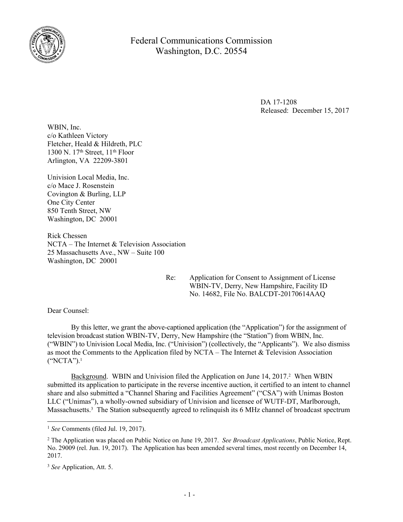

Federal Communications Commission Washington, D.C. 20554

> DA 17-1208 Released: December 15, 2017

WBIN, Inc. c/o Kathleen Victory Fletcher, Heald & Hildreth, PLC 1300 N. 17th Street, 11th Floor Arlington, VA 22209-3801

Univision Local Media, Inc. c/o Mace J. Rosenstein Covington & Burling, LLP One City Center 850 Tenth Street, NW Washington, DC 20001

Rick Chessen NCTA – The Internet & Television Association 25 Massachusetts Ave., NW – Suite 100 Washington, DC 20001

> Re: Application for Consent to Assignment of License WBIN-TV, Derry, New Hampshire, Facility ID No. 14682, File No. BALCDT-20170614AAQ

Dear Counsel:

By this letter, we grant the above-captioned application (the "Application") for the assignment of television broadcast station WBIN-TV, Derry, New Hampshire (the "Station") from WBIN, Inc. ("WBIN") to Univision Local Media, Inc. ("Univision") (collectively, the "Applicants"). We also dismiss as moot the Comments to the Application filed by NCTA – The Internet & Television Association ("NCTA").<sup>1</sup>

Background. WBIN and Univision filed the Application on June 14, 2017.<sup>2</sup> When WBIN submitted its application to participate in the reverse incentive auction, it certified to an intent to channel share and also submitted a "Channel Sharing and Facilities Agreement" ("CSA") with Unimas Boston LLC ("Unimas"), a wholly-owned subsidiary of Univision and licensee of WUTF-DT, Marlborough, Massachusetts.<sup>3</sup> The Station subsequently agreed to relinquish its 6 MHz channel of broadcast spectrum

<sup>1</sup> *See* Comments (filed Jul. 19, 2017).

<sup>2</sup> The Application was placed on Public Notice on June 19, 2017. *See Broadcast Applications*, Public Notice, Rept. No. 29009 (rel. Jun. 19, 2017). The Application has been amended several times, most recently on December 14, 2017.

<sup>3</sup> *See* Application, Att. 5.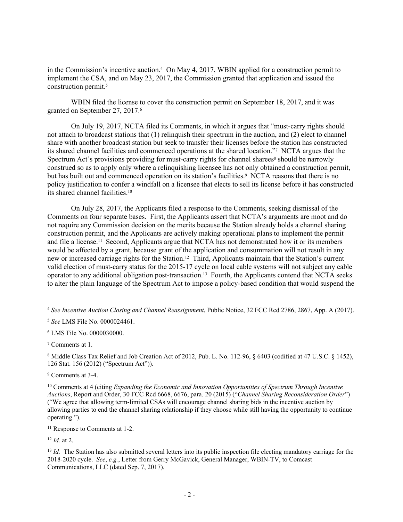in the Commission's incentive auction.<sup>4</sup> On May 4, 2017, WBIN applied for a construction permit to implement the CSA, and on May 23, 2017, the Commission granted that application and issued the construction permit.<sup>5</sup>

WBIN filed the license to cover the construction permit on September 18, 2017, and it was granted on September 27, 2017.<sup>6</sup>

On July 19, 2017, NCTA filed its Comments, in which it argues that "must-carry rights should not attach to broadcast stations that (1) relinquish their spectrum in the auction, and (2) elect to channel share with another broadcast station but seek to transfer their licenses before the station has constructed its shared channel facilities and commenced operations at the shared location."<sup>7</sup> NCTA argues that the Spectrum Act's provisions providing for must-carry rights for channel sharees<sup>8</sup> should be narrowly construed so as to apply only where a relinquishing licensee has not only obtained a construction permit, but has built out and commenced operation on its station's facilities.<sup>9</sup> NCTA reasons that there is no policy justification to confer a windfall on a licensee that elects to sell its license before it has constructed its shared channel facilities.<sup>10</sup>

On July 28, 2017, the Applicants filed a response to the Comments, seeking dismissal of the Comments on four separate bases. First, the Applicants assert that NCTA's arguments are moot and do not require any Commission decision on the merits because the Station already holds a channel sharing construction permit, and the Applicants are actively making operational plans to implement the permit and file a license.11 Second, Applicants argue that NCTA has not demonstrated how it or its members would be affected by a grant, because grant of the application and consummation will not result in any new or increased carriage rights for the Station.12 Third, Applicants maintain that the Station's current valid election of must-carry status for the 2015-17 cycle on local cable systems will not subject any cable operator to any additional obligation post-transaction.13 Fourth, the Applicants contend that NCTA seeks to alter the plain language of the Spectrum Act to impose a policy-based condition that would suspend the

7 Comments at 1.

<sup>8</sup> Middle Class Tax Relief and Job Creation Act of 2012, Pub. L. No. 112-96, § 6403 (codified at 47 U.S.C. § 1452), 126 Stat. 156 (2012) ("Spectrum Act")).

<sup>9</sup> Comments at 3-4.

<sup>11</sup> Response to Comments at 1-2.

<sup>12</sup> *Id.* at 2.

<sup>4</sup> *See Incentive Auction Closing and Channel Reassignment*, Public Notice, 32 FCC Rcd 2786, 2867, App. A (2017).

<sup>5</sup> *See* LMS File No. 0000024461.

<sup>6</sup> LMS File No. 0000030000.

<sup>10</sup> Comments at 4 (citing *Expanding the Economic and Innovation Opportunities of Spectrum Through Incentive Auctions*, Report and Order, 30 FCC Rcd 6668, 6676, para. 20 (2015) ("*Channel Sharing Reconsideration Order*") ("We agree that allowing term-limited CSAs will encourage channel sharing bids in the incentive auction by allowing parties to end the channel sharing relationship if they choose while still having the opportunity to continue operating.").

<sup>&</sup>lt;sup>13</sup> *Id.* The Station has also submitted several letters into its public inspection file electing mandatory carriage for the 2018-2020 cycle. *See*, *e.g.*, Letter from Gerry McGavick, General Manager, WBIN-TV, to Comcast Communications, LLC (dated Sep. 7, 2017).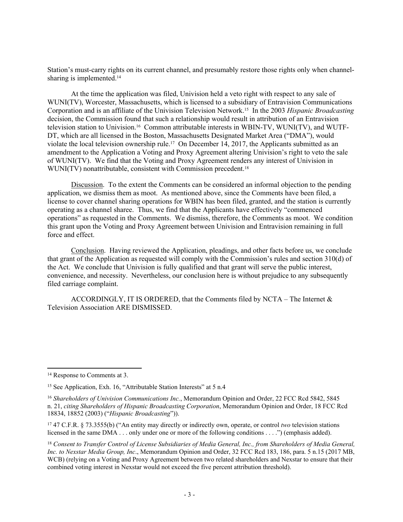Station's must-carry rights on its current channel, and presumably restore those rights only when channelsharing is implemented.<sup>14</sup>

At the time the application was filed, Univision held a veto right with respect to any sale of WUNI(TV), Worcester, Massachusetts, which is licensed to a subsidiary of Entravision Communications Corporation and is an affiliate of the Univision Television Network.15 In the 2003 *Hispanic Broadcasting* decision, the Commission found that such a relationship would result in attribution of an Entravision television station to Univision.16 Common attributable interests in WBIN-TV, WUNI(TV), and WUTF-DT, which are all licensed in the Boston, Massachusetts Designated Market Area ("DMA"), would violate the local television ownership rule.17 On December 14, 2017, the Applicants submitted as an amendment to the Application a Voting and Proxy Agreement altering Univision's right to veto the sale of WUNI(TV). We find that the Voting and Proxy Agreement renders any interest of Univision in WUNI(TV) nonattributable, consistent with Commission precedent.<sup>18</sup>

Discussion. To the extent the Comments can be considered an informal objection to the pending application, we dismiss them as moot. As mentioned above, since the Comments have been filed, a license to cover channel sharing operations for WBIN has been filed, granted, and the station is currently operating as a channel sharee. Thus, we find that the Applicants have effectively "commenced operations" as requested in the Comments. We dismiss, therefore, the Comments as moot. We condition this grant upon the Voting and Proxy Agreement between Univision and Entravision remaining in full force and effect.

Conclusion. Having reviewed the Application, pleadings, and other facts before us, we conclude that grant of the Application as requested will comply with the Commission's rules and section 310(d) of the Act. We conclude that Univision is fully qualified and that grant will serve the public interest, convenience, and necessity. Nevertheless, our conclusion here is without prejudice to any subsequently filed carriage complaint.

ACCORDINGLY, IT IS ORDERED, that the Comments filed by NCTA – The Internet  $\&$ Television Association ARE DISMISSED.

<sup>14</sup> Response to Comments at 3.

<sup>&</sup>lt;sup>15</sup> See Application, Exh. 16, "Attributable Station Interests" at 5 n.4

<sup>16</sup> *Shareholders of Univision Communications Inc.*, Memorandum Opinion and Order, 22 FCC Rcd 5842, 5845 n. 21, *citing Shareholders of Hispanic Broadcasting Corporation*, Memorandum Opinion and Order, 18 FCC Rcd 18834, 18852 (2003) ("*Hispanic Broadcasting*")).

<sup>17</sup> 47 C.F.R. § 73.3555(b) ("An entity may directly or indirectly own, operate, or control *two* television stations licensed in the same DMA . . . only under one or more of the following conditions . . . .") (emphasis added).

<sup>18</sup> *Consent to Transfer Control of License Subsidiaries of Media General, Inc., from Shareholders of Media General, Inc. to Nexstar Media Group, Inc*., Memorandum Opinion and Order, 32 FCC Rcd 183, 186, para. 5 n.15 (2017 MB, WCB) (relying on a Voting and Proxy Agreement between two related shareholders and Nexstar to ensure that their combined voting interest in Nexstar would not exceed the five percent attribution threshold).